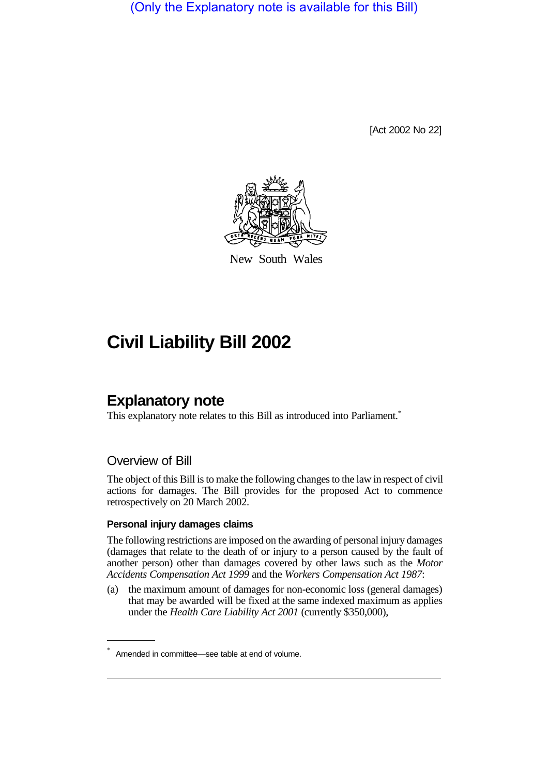(Only the Explanatory note is available for this Bill)

[Act 2002 No 22]



New South Wales

# **Civil Liability Bill 2002**

# **Explanatory note**

This explanatory note relates to this Bill as introduced into Parliament.<sup>\*</sup>

# Overview of Bill

The object of this Bill is to make the following changes to the law in respect of civil actions for damages. The Bill provides for the proposed Act to commence retrospectively on 20 March 2002.

#### **Personal injury damages claims**

The following restrictions are imposed on the awarding of personal injury damages (damages that relate to the death of or injury to a person caused by the fault of another person) other than damages covered by other laws such as the *Motor Accidents Compensation Act 1999* and the *Workers Compensation Act 1987*:

(a) the maximum amount of damages for non-economic loss (general damages) that may be awarded will be fixed at the same indexed maximum as applies under the *Health Care Liability Act 2001* (currently \$350,000),

Amended in committee—see table at end of volume.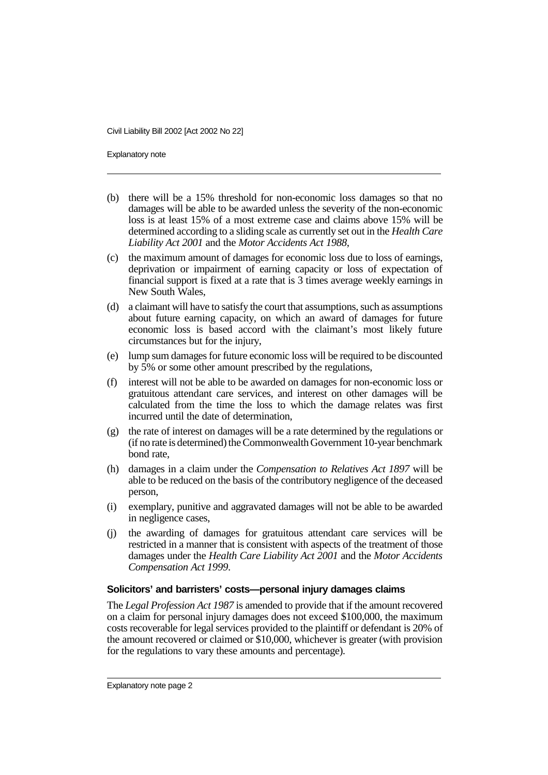Explanatory note

- (b) there will be a 15% threshold for non-economic loss damages so that no damages will be able to be awarded unless the severity of the non-economic loss is at least 15% of a most extreme case and claims above 15% will be determined according to a sliding scale as currently set out in the *Health Care Liability Act 2001* and the *Motor Accidents Act 1988*,
- (c) the maximum amount of damages for economic loss due to loss of earnings, deprivation or impairment of earning capacity or loss of expectation of financial support is fixed at a rate that is 3 times average weekly earnings in New South Wales,
- (d) a claimant will have to satisfy the court that assumptions, such as assumptions about future earning capacity, on which an award of damages for future economic loss is based accord with the claimant's most likely future circumstances but for the injury,
- (e) lump sum damages for future economic loss will be required to be discounted by 5% or some other amount prescribed by the regulations,
- (f) interest will not be able to be awarded on damages for non-economic loss or gratuitous attendant care services, and interest on other damages will be calculated from the time the loss to which the damage relates was first incurred until the date of determination,
- (g) the rate of interest on damages will be a rate determined by the regulations or (if no rate is determined) the Commonwealth Government 10-year benchmark bond rate,
- (h) damages in a claim under the *Compensation to Relatives Act 1897* will be able to be reduced on the basis of the contributory negligence of the deceased person,
- (i) exemplary, punitive and aggravated damages will not be able to be awarded in negligence cases,
- (j) the awarding of damages for gratuitous attendant care services will be restricted in a manner that is consistent with aspects of the treatment of those damages under the *Health Care Liability Act 2001* and the *Motor Accidents Compensation Act 1999*.

#### **Solicitors' and barristers' costs—personal injury damages claims**

The *Legal Profession Act 1987* is amended to provide that if the amount recovered on a claim for personal injury damages does not exceed \$100,000, the maximum costs recoverable for legal services provided to the plaintiff or defendant is 20% of the amount recovered or claimed or \$10,000, whichever is greater (with provision for the regulations to vary these amounts and percentage).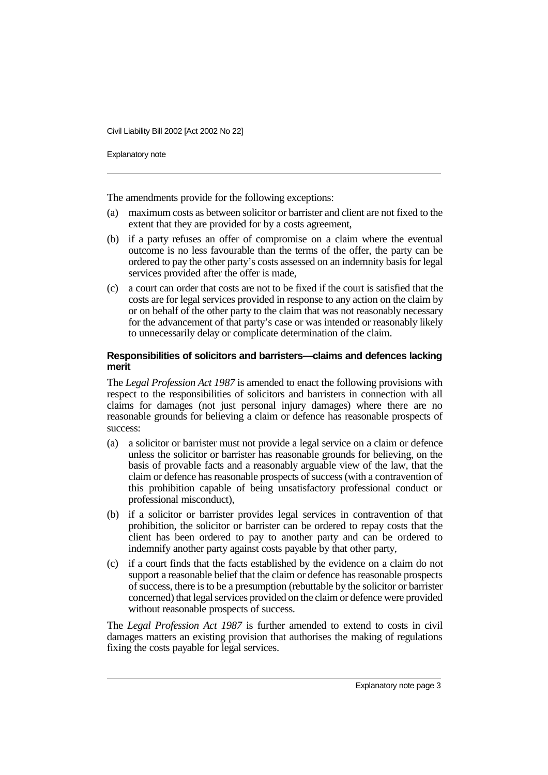Explanatory note

The amendments provide for the following exceptions:

- (a) maximum costs as between solicitor or barrister and client are not fixed to the extent that they are provided for by a costs agreement,
- (b) if a party refuses an offer of compromise on a claim where the eventual outcome is no less favourable than the terms of the offer, the party can be ordered to pay the other party's costs assessed on an indemnity basis for legal services provided after the offer is made,
- (c) a court can order that costs are not to be fixed if the court is satisfied that the costs are for legal services provided in response to any action on the claim by or on behalf of the other party to the claim that was not reasonably necessary for the advancement of that party's case or was intended or reasonably likely to unnecessarily delay or complicate determination of the claim.

#### **Responsibilities of solicitors and barristers—claims and defences lacking merit**

The *Legal Profession Act 1987* is amended to enact the following provisions with respect to the responsibilities of solicitors and barristers in connection with all claims for damages (not just personal injury damages) where there are no reasonable grounds for believing a claim or defence has reasonable prospects of success:

- (a) a solicitor or barrister must not provide a legal service on a claim or defence unless the solicitor or barrister has reasonable grounds for believing, on the basis of provable facts and a reasonably arguable view of the law, that the claim or defence has reasonable prospects of success (with a contravention of this prohibition capable of being unsatisfactory professional conduct or professional misconduct),
- (b) if a solicitor or barrister provides legal services in contravention of that prohibition, the solicitor or barrister can be ordered to repay costs that the client has been ordered to pay to another party and can be ordered to indemnify another party against costs payable by that other party,
- (c) if a court finds that the facts established by the evidence on a claim do not support a reasonable belief that the claim or defence has reasonable prospects of success, there is to be a presumption (rebuttable by the solicitor or barrister concerned) that legal services provided on the claim or defence were provided without reasonable prospects of success.

The *Legal Profession Act 1987* is further amended to extend to costs in civil damages matters an existing provision that authorises the making of regulations fixing the costs payable for legal services.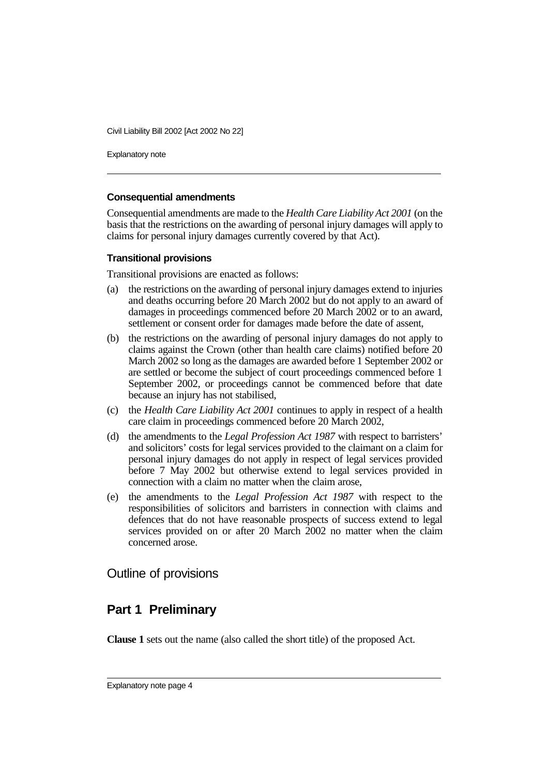Explanatory note

#### **Consequential amendments**

Consequential amendments are made to the *Health Care Liability Act 2001* (on the basis that the restrictions on the awarding of personal injury damages will apply to claims for personal injury damages currently covered by that Act).

#### **Transitional provisions**

Transitional provisions are enacted as follows:

- (a) the restrictions on the awarding of personal injury damages extend to injuries and deaths occurring before 20 March 2002 but do not apply to an award of damages in proceedings commenced before 20 March 2002 or to an award, settlement or consent order for damages made before the date of assent,
- (b) the restrictions on the awarding of personal injury damages do not apply to claims against the Crown (other than health care claims) notified before 20 March 2002 so long as the damages are awarded before 1 September 2002 or are settled or become the subject of court proceedings commenced before 1 September 2002, or proceedings cannot be commenced before that date because an injury has not stabilised,
- (c) the *Health Care Liability Act 2001* continues to apply in respect of a health care claim in proceedings commenced before 20 March 2002,
- (d) the amendments to the *Legal Profession Act 1987* with respect to barristers' and solicitors' costs for legal services provided to the claimant on a claim for personal injury damages do not apply in respect of legal services provided before 7 May 2002 but otherwise extend to legal services provided in connection with a claim no matter when the claim arose,
- (e) the amendments to the *Legal Profession Act 1987* with respect to the responsibilities of solicitors and barristers in connection with claims and defences that do not have reasonable prospects of success extend to legal services provided on or after 20 March 2002 no matter when the claim concerned arose.

# Outline of provisions

# **Part 1 Preliminary**

**Clause 1** sets out the name (also called the short title) of the proposed Act.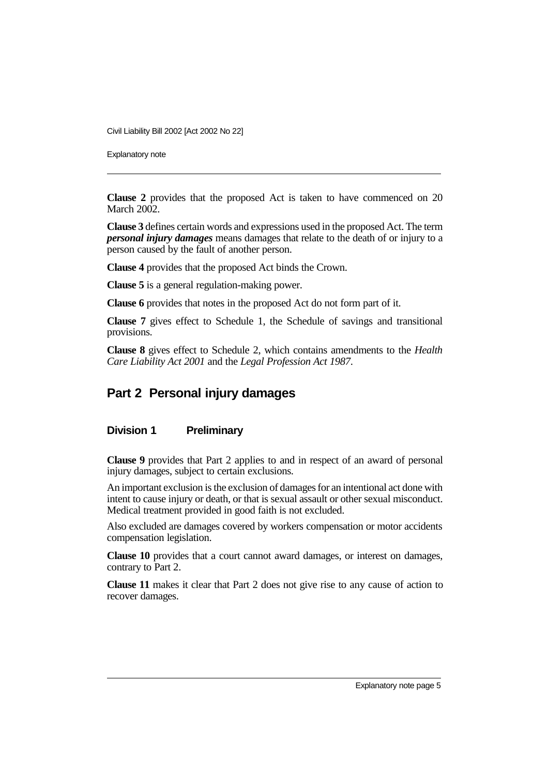Explanatory note

**Clause 2** provides that the proposed Act is taken to have commenced on 20 March 2002.

**Clause 3** defines certain words and expressions used in the proposed Act. The term *personal injury damages* means damages that relate to the death of or injury to a person caused by the fault of another person.

**Clause 4** provides that the proposed Act binds the Crown.

**Clause 5** is a general regulation-making power.

**Clause 6** provides that notes in the proposed Act do not form part of it.

**Clause 7** gives effect to Schedule 1, the Schedule of savings and transitional provisions.

**Clause 8** gives effect to Schedule 2, which contains amendments to the *Health Care Liability Act 2001* and the *Legal Profession Act 1987*.

# **Part 2 Personal injury damages**

## **Division 1 Preliminary**

**Clause 9** provides that Part 2 applies to and in respect of an award of personal injury damages, subject to certain exclusions.

An important exclusion is the exclusion of damages for an intentional act done with intent to cause injury or death, or that is sexual assault or other sexual misconduct. Medical treatment provided in good faith is not excluded.

Also excluded are damages covered by workers compensation or motor accidents compensation legislation.

**Clause 10** provides that a court cannot award damages, or interest on damages, contrary to Part 2.

**Clause 11** makes it clear that Part 2 does not give rise to any cause of action to recover damages.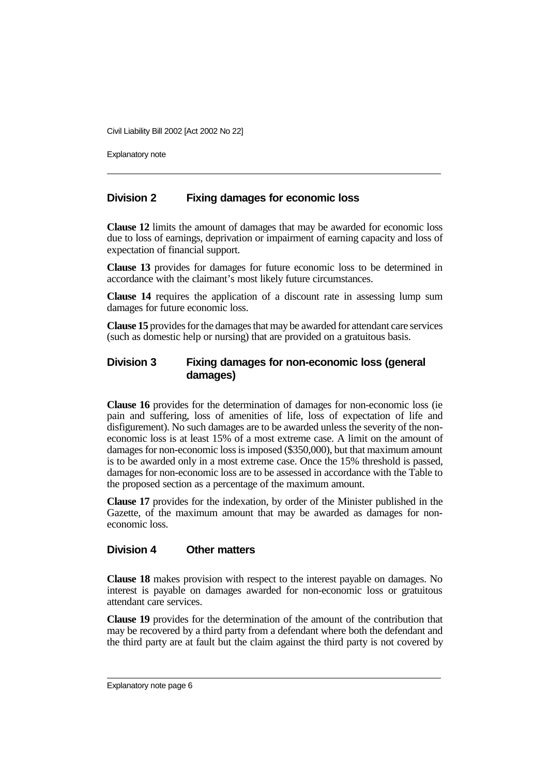Explanatory note

## **Division 2 Fixing damages for economic loss**

**Clause 12** limits the amount of damages that may be awarded for economic loss due to loss of earnings, deprivation or impairment of earning capacity and loss of expectation of financial support.

**Clause 13** provides for damages for future economic loss to be determined in accordance with the claimant's most likely future circumstances.

**Clause 14** requires the application of a discount rate in assessing lump sum damages for future economic loss.

**Clause 15** provides for the damages that may be awarded for attendant care services (such as domestic help or nursing) that are provided on a gratuitous basis.

## **Division 3 Fixing damages for non-economic loss (general damages)**

**Clause 16** provides for the determination of damages for non-economic loss (ie pain and suffering, loss of amenities of life, loss of expectation of life and disfigurement). No such damages are to be awarded unless the severity of the noneconomic loss is at least 15% of a most extreme case. A limit on the amount of damages for non-economic loss is imposed (\$350,000), but that maximum amount is to be awarded only in a most extreme case. Once the 15% threshold is passed, damages for non-economic loss are to be assessed in accordance with the Table to the proposed section as a percentage of the maximum amount.

**Clause 17** provides for the indexation, by order of the Minister published in the Gazette, of the maximum amount that may be awarded as damages for noneconomic loss.

#### **Division 4 Other matters**

**Clause 18** makes provision with respect to the interest payable on damages. No interest is payable on damages awarded for non-economic loss or gratuitous attendant care services.

**Clause 19** provides for the determination of the amount of the contribution that may be recovered by a third party from a defendant where both the defendant and the third party are at fault but the claim against the third party is not covered by

Explanatory note page 6